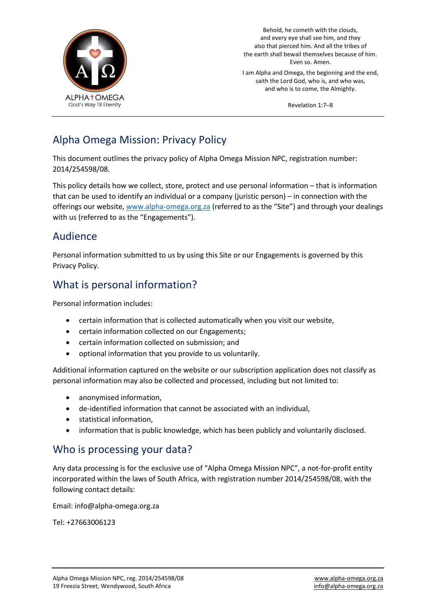

Behold, he cometh with the clouds, and every eye shall see him, and they also that pierced him. And all the tribes of the earth shall bewail themselves because of him. Even so. Amen.

I am Alpha and Omega, the beginning and the end, saith the Lord God, who is, and who was, and who is to come, the Almighty.

Revelation 1:7–8

# Alpha Omega Mission: Privacy Policy

This document outlines the privacy policy of Alpha Omega Mission NPC, registration number: 2014/254598/08.

This policy details how we collect, store, protect and use personal information – that is information that can be used to identify an individual or a company (juristic person) – in connection with the offerings our website, [www.alpha-omega.org.za](http://www.alpha-omega.org.za/) (referred to as the "Site") and through your dealings with us (referred to as the "Engagements").

# Audience

Personal information submitted to us by using this Site or our Engagements is governed by this Privacy Policy.

# What is personal information?

Personal information includes:

- certain information that is collected automatically when you visit our website,
- certain information collected on our Engagements;
- certain information collected on submission; and
- optional information that you provide to us voluntarily.

Additional information captured on the website or our subscription application does not classify as personal information may also be collected and processed, including but not limited to:

- anonymised information,
- de-identified information that cannot be associated with an individual,
- statistical information,
- information that is public knowledge, which has been publicly and voluntarily disclosed.

# Who is processing your data?

Any data processing is for the exclusive use of "Alpha Omega Mission NPC", a not-for-profit entity incorporated within the laws of South Africa, with registration number 2014/254598/08, with the following contact details:

Email: info@alpha-omega.org.za

Tel: +27663006123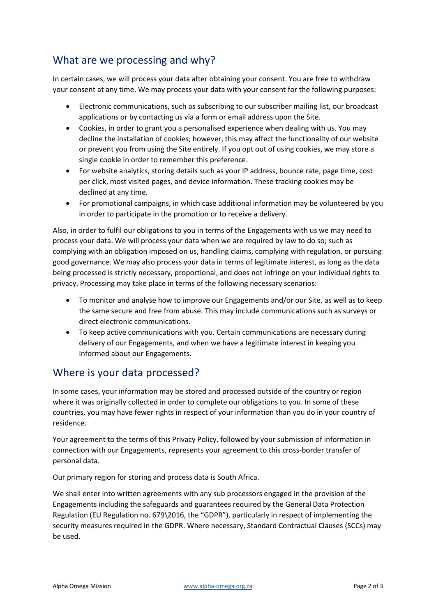# What are we processing and why?

In certain cases, we will process your data after obtaining your consent. You are free to withdraw your consent at any time. We may process your data with your consent for the following purposes:

- Electronic communications, such as subscribing to our subscriber mailing list, our broadcast applications or by contacting us via a form or email address upon the Site.
- Cookies, in order to grant you a personalised experience when dealing with us. You may decline the installation of cookies; however, this may affect the functionality of our website or prevent you from using the Site entirely. If you opt out of using cookies, we may store a single cookie in order to remember this preference.
- For website analytics, storing details such as your IP address, bounce rate, page time, cost per click, most visited pages, and device information. These tracking cookies may be declined at any time.
- For promotional campaigns, in which case additional information may be volunteered by you in order to participate in the promotion or to receive a delivery.

Also, in order to fulfil our obligations to you in terms of the Engagements with us we may need to process your data. We will process your data when we are required by law to do so; such as complying with an obligation imposed on us, handling claims, complying with regulation, or pursuing good governance. We may also process your data in terms of legitimate interest, as long as the data being processed is strictly necessary, proportional, and does not infringe on your individual rights to privacy. Processing may take place in terms of the following necessary scenarios:

- To monitor and analyse how to improve our Engagements and/or our Site, as well as to keep the same secure and free from abuse. This may include communications such as surveys or direct electronic communications.
- To keep active communications with you. Certain communications are necessary during delivery of our Engagements, and when we have a legitimate interest in keeping you informed about our Engagements.

# Where is your data processed?

In some cases, your information may be stored and processed outside of the country or region where it was originally collected in order to complete our obligations to you. In some of these countries, you may have fewer rights in respect of your information than you do in your country of residence.

Your agreement to the terms of this Privacy Policy, followed by your submission of information in connection with our Engagements, represents your agreement to this cross-border transfer of personal data.

Our primary region for storing and process data is South Africa.

We shall enter into written agreements with any sub processors engaged in the provision of the Engagements including the safeguards and guarantees required by the General Data Protection Regulation (EU Regulation no. 679\2016, the "GDPR"), particularly in respect of implementing the security measures required in the GDPR. Where necessary, Standard Contractual Clauses (SCCs) may be used.